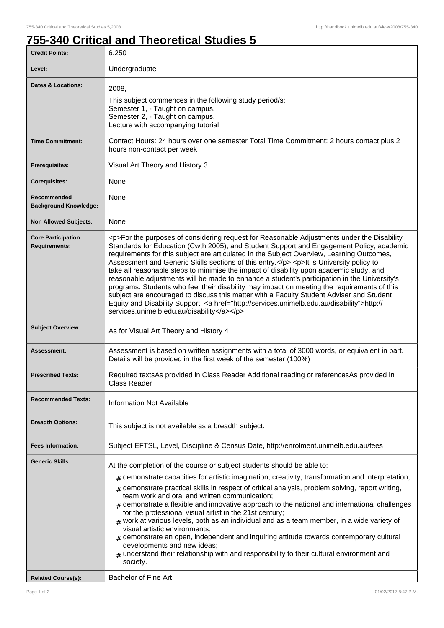٦

## **755-340 Critical and Theoretical Studies 5**

| <b>Credit Points:</b>                             | 6.250                                                                                                                                                                                                                                                                                                                                                                                                                                                                                                                                                                                                                                                                                                                                                                                                                                                                                                                        |
|---------------------------------------------------|------------------------------------------------------------------------------------------------------------------------------------------------------------------------------------------------------------------------------------------------------------------------------------------------------------------------------------------------------------------------------------------------------------------------------------------------------------------------------------------------------------------------------------------------------------------------------------------------------------------------------------------------------------------------------------------------------------------------------------------------------------------------------------------------------------------------------------------------------------------------------------------------------------------------------|
| Level:                                            | Undergraduate                                                                                                                                                                                                                                                                                                                                                                                                                                                                                                                                                                                                                                                                                                                                                                                                                                                                                                                |
| <b>Dates &amp; Locations:</b>                     | 2008,<br>This subject commences in the following study period/s:<br>Semester 1, - Taught on campus.<br>Semester 2, - Taught on campus.<br>Lecture with accompanying tutorial                                                                                                                                                                                                                                                                                                                                                                                                                                                                                                                                                                                                                                                                                                                                                 |
| <b>Time Commitment:</b>                           | Contact Hours: 24 hours over one semester Total Time Commitment: 2 hours contact plus 2<br>hours non-contact per week                                                                                                                                                                                                                                                                                                                                                                                                                                                                                                                                                                                                                                                                                                                                                                                                        |
| <b>Prerequisites:</b>                             | Visual Art Theory and History 3                                                                                                                                                                                                                                                                                                                                                                                                                                                                                                                                                                                                                                                                                                                                                                                                                                                                                              |
| <b>Corequisites:</b>                              | None                                                                                                                                                                                                                                                                                                                                                                                                                                                                                                                                                                                                                                                                                                                                                                                                                                                                                                                         |
| Recommended<br><b>Background Knowledge:</b>       | None                                                                                                                                                                                                                                                                                                                                                                                                                                                                                                                                                                                                                                                                                                                                                                                                                                                                                                                         |
| <b>Non Allowed Subjects:</b>                      | None                                                                                                                                                                                                                                                                                                                                                                                                                                                                                                                                                                                                                                                                                                                                                                                                                                                                                                                         |
| <b>Core Participation</b><br><b>Requirements:</b> | <p>For the purposes of considering request for Reasonable Adjustments under the Disability<br/>Standards for Education (Cwth 2005), and Student Support and Engagement Policy, academic<br/>requirements for this subject are articulated in the Subject Overview, Learning Outcomes,<br/>Assessment and Generic Skills sections of this entry.</p> <p>It is University policy to<br/>take all reasonable steps to minimise the impact of disability upon academic study, and<br/>reasonable adjustments will be made to enhance a student's participation in the University's<br/>programs. Students who feel their disability may impact on meeting the requirements of this<br/>subject are encouraged to discuss this matter with a Faculty Student Adviser and Student<br/>Equity and Disability Support: &lt; a href="http://services.unimelb.edu.au/disability"&gt;http://<br/>services.unimelb.edu.au/disability</p> |
| <b>Subject Overview:</b>                          | As for Visual Art Theory and History 4                                                                                                                                                                                                                                                                                                                                                                                                                                                                                                                                                                                                                                                                                                                                                                                                                                                                                       |
| Assessment:                                       | Assessment is based on written assignments with a total of 3000 words, or equivalent in part.<br>Details will be provided in the first week of the semester (100%)                                                                                                                                                                                                                                                                                                                                                                                                                                                                                                                                                                                                                                                                                                                                                           |
| <b>Prescribed Texts:</b>                          | Required textsAs provided in Class Reader Additional reading or referencesAs provided in<br>Class Reader                                                                                                                                                                                                                                                                                                                                                                                                                                                                                                                                                                                                                                                                                                                                                                                                                     |
| <b>Recommended Texts:</b>                         | <b>Information Not Available</b>                                                                                                                                                                                                                                                                                                                                                                                                                                                                                                                                                                                                                                                                                                                                                                                                                                                                                             |
| <b>Breadth Options:</b>                           | This subject is not available as a breadth subject.                                                                                                                                                                                                                                                                                                                                                                                                                                                                                                                                                                                                                                                                                                                                                                                                                                                                          |
| <b>Fees Information:</b>                          | Subject EFTSL, Level, Discipline & Census Date, http://enrolment.unimelb.edu.au/fees                                                                                                                                                                                                                                                                                                                                                                                                                                                                                                                                                                                                                                                                                                                                                                                                                                         |
| <b>Generic Skills:</b>                            | At the completion of the course or subject students should be able to:<br>$#$ demonstrate capacities for artistic imagination, creativity, transformation and interpretation;<br>demonstrate practical skills in respect of critical analysis, problem solving, report writing,<br>#<br>team work and oral and written communication;<br>demonstrate a flexible and innovative approach to the national and international challenges<br>for the professional visual artist in the 21st century;<br>$_{\text{\#}}$ work at various levels, both as an individual and as a team member, in a wide variety of<br>visual artistic environments;<br>demonstrate an open, independent and inquiring attitude towards contemporary cultural<br>developments and new ideas;<br>understand their relationship with and responsibility to their cultural environment and<br>society.                                                   |
| <b>Related Course(s):</b>                         | <b>Bachelor of Fine Art</b>                                                                                                                                                                                                                                                                                                                                                                                                                                                                                                                                                                                                                                                                                                                                                                                                                                                                                                  |